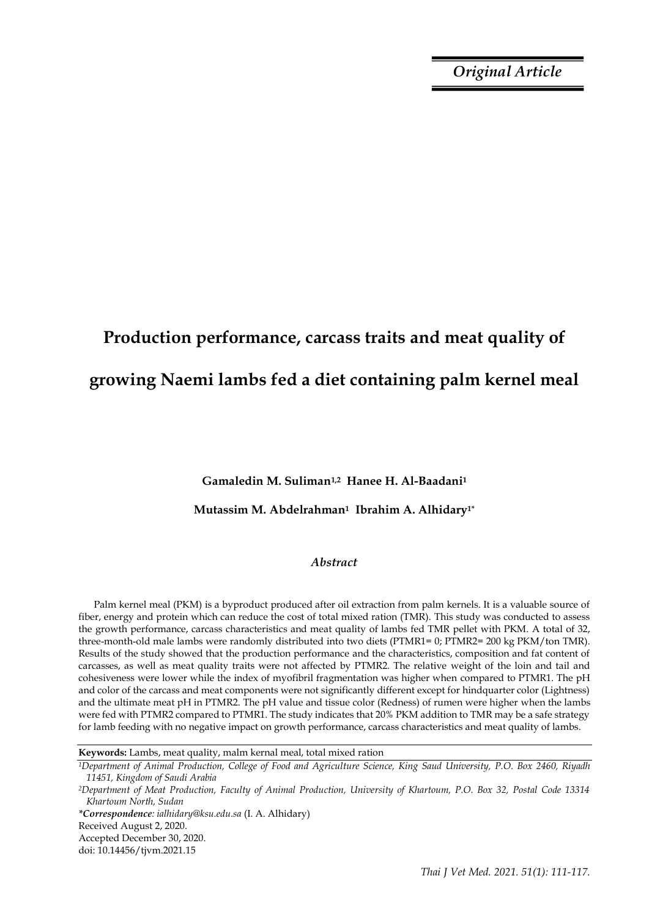*Original Article*

# **Production performance, carcass traits and meat quality of growing Naemi lambs fed a diet containing palm kernel meal**

**Gamaledin M. Suliman1,2 Hanee H. Al-Baadani<sup>1</sup>**

## **Mutassim M. Abdelrahman1 Ibrahim A. Alhidary1\***

## *Abstract*

Palm kernel meal (PKM) is a byproduct produced after oil extraction from palm kernels. It is a valuable source of fiber, energy and protein which can reduce the cost of total mixed ration (TMR). This study was conducted to assess the growth performance, carcass characteristics and meat quality of lambs fed TMR pellet with PKM. A total of 32, three-month-old male lambs were randomly distributed into two diets (PTMR1= 0; PTMR2= 200 kg PKM/ton TMR). Results of the study showed that the production performance and the characteristics, composition and fat content of carcasses, as well as meat quality traits were not affected by PTMR2. The relative weight of the loin and tail and cohesiveness were lower while the index of myofibril fragmentation was higher when compared to PTMR1. The pH and color of the carcass and meat components were not significantly different except for hindquarter color (Lightness) and the ultimate meat pH in PTMR2. The pH value and tissue color (Redness) of rumen were higher when the lambs were fed with PTMR2 compared to PTMR1. The study indicates that 20% PKM addition to TMR may be a safe strategy for lamb feeding with no negative impact on growth performance, carcass characteristics and meat quality of lambs.

*\*Correspondence: ialhidary@ksu.edu.sa* (I. A. Alhidary) Received August 2, 2020.

Accepted December 30, 2020.

doi: 10.14456/tjvm.2021.15

**Keywords:** Lambs, meat quality, malm kernal meal, total mixed ration

*<sup>1</sup>Department of Animal Production, College of Food and Agriculture Science, King Saud University, P.O. Box 2460, Riyadh 11451, Kingdom of Saudi Arabia*

*<sup>2</sup>Department of Meat Production, Faculty of Animal Production, University of Khartoum, P.O. Box 32, Postal Code 13314 Khartoum North, Sudan*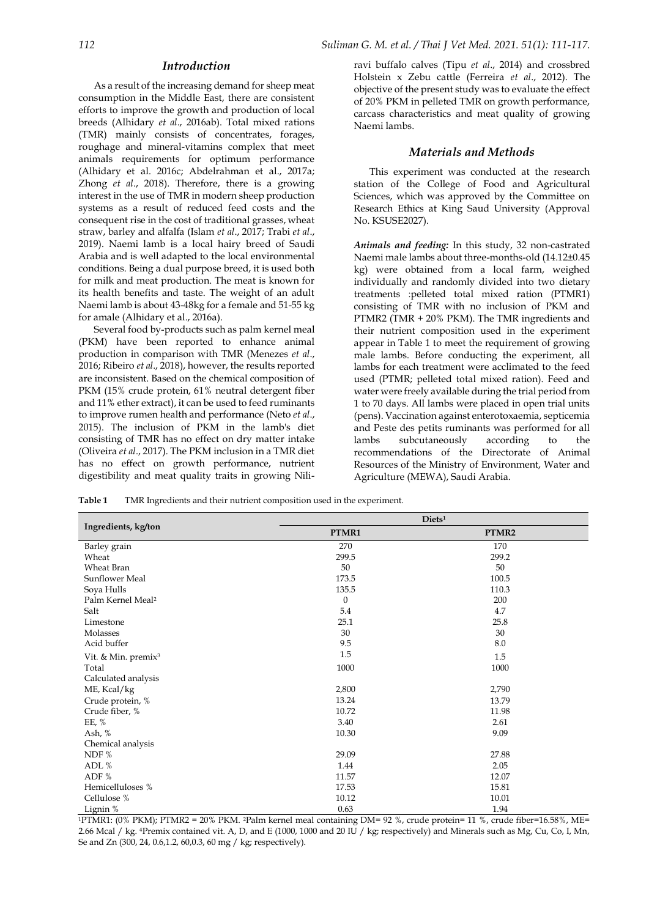#### *Introduction*

As a result of the increasing demand for sheep meat consumption in the Middle East, there are consistent efforts to improve the growth and production of local breeds (Alhidary *et al*., 2016ab). Total mixed rations (TMR) mainly consists of concentrates, forages, roughage and mineral-vitamins complex that meet animals requirements for optimum performance (Alhidary et al. 2016c; Abdelrahman et al., 2017a; Zhong *et al*., 2018). Therefore, there is a growing interest in the use of TMR in modern sheep production systems as a result of reduced feed costs and the consequent rise in the cost of traditional grasses, wheat straw, barley and alfalfa (Islam *et al*., 2017; Trabi *et al*., 2019). Naemi lamb is a local hairy breed of Saudi Arabia and is well adapted to the local environmental conditions. Being a dual purpose breed, it is used both for milk and meat production. The meat is known for its health benefits and taste. The weight of an adult Naemi lamb is about 43-48kg for a female and 51-55 kg for amale (Alhidary et al., 2016a).

Several food by-products such as palm kernel meal (PKM) have been reported to enhance animal production in comparison with TMR (Menezes *et al*., 2016; Ribeiro *et al*., 2018), however, the results reported are inconsistent. Based on the chemical composition of PKM (15% crude protein, 61% neutral detergent fiber and 11% ether extract), it can be used to feed ruminants to improve rumen health and performance (Neto *et al*., 2015). The inclusion of PKM in the lamb's diet consisting of TMR has no effect on dry matter intake (Oliveira *et al*., 2017). The PKM inclusion in a TMR diet has no effect on growth performance, nutrient digestibility and meat quality traits in growing Niliravi buffalo calves (Tipu *et al*., 2014) and crossbred Holstein x Zebu cattle (Ferreira *et al*., 2012). The objective of the present study was to evaluate the effect of 20% PKM in pelleted TMR on growth performance, carcass characteristics and meat quality of growing Naemi lambs.

### *Materials and Methods*

This experiment was conducted at the research station of the College of Food and Agricultural Sciences, which was approved by the Committee on Research Ethics at King Saud University (Approval No. KSUSE2027).

*Animals and feeding:* In this study, 32 non-castrated Naemi male lambs about three-months-old (14.12±0.45 kg) were obtained from a local farm, weighed individually and randomly divided into two dietary treatments :pelleted total mixed ration (PTMR1) consisting of TMR with no inclusion of PKM and PTMR2 (TMR + 20% PKM). The TMR ingredients and their nutrient composition used in the experiment appear in Table 1 to meet the requirement of growing male lambs. Before conducting the experiment, all lambs for each treatment were acclimated to the feed used (PTMR; pelleted total mixed ration). Feed and water were freely available during the trial period from 1 to 70 days. All lambs were placed in open trial units (pens). Vaccination against enterotoxaemia, septicemia and Peste des petits ruminants was performed for all lambs subcutaneously according to the recommendations of the Directorate of Animal Resources of the Ministry of Environment, Water and Agriculture (MEWA), Saudi Arabia.

**Table 1** TMR Ingredients and their nutrient composition used in the experiment.

|                                 | Diets <sup>1</sup> |       |  |  |
|---------------------------------|--------------------|-------|--|--|
| Ingredients, kg/ton             | PTMR1              | PTMR2 |  |  |
| Barley grain                    | 270                | 170   |  |  |
| Wheat                           | 299.5              | 299.2 |  |  |
| Wheat Bran                      | 50                 | 50    |  |  |
| Sunflower Meal                  | 173.5              | 100.5 |  |  |
| Soya Hulls                      | 135.5              | 110.3 |  |  |
| Palm Kernel Meal <sup>2</sup>   | $\boldsymbol{0}$   | 200   |  |  |
| Salt                            | 5.4                | 4.7   |  |  |
| Limestone                       | 25.1               | 25.8  |  |  |
| Molasses                        | 30                 | 30    |  |  |
| Acid buffer                     | 9.5                | 8.0   |  |  |
| Vit. & Min. premix <sup>3</sup> | 1.5                | 1.5   |  |  |
| Total                           | 1000               | 1000  |  |  |
| Calculated analysis             |                    |       |  |  |
| ME, Kcal/kg                     | 2,800              | 2,790 |  |  |
| Crude protein, %                | 13.24              | 13.79 |  |  |
| Crude fiber, %                  | 10.72              | 11.98 |  |  |
| EE, %                           | 3.40               | 2.61  |  |  |
| Ash, %                          | 10.30              | 9.09  |  |  |
| Chemical analysis               |                    |       |  |  |
| NDF %                           | 29.09              | 27.88 |  |  |
| ADL %                           | 1.44               | 2.05  |  |  |
| ADF %                           | 11.57              | 12.07 |  |  |
| Hemicelluloses %                | 17.53              | 15.81 |  |  |
| Cellulose %                     | 10.12              | 10.01 |  |  |
| Lignin %                        | 0.63               | 1.94  |  |  |

 $1$ PTMR1: (0% PKM); PTMR2 = 20% PKM. 2Palm kernel meal containing DM= 92 %, crude protein= 11 %, crude fiber=16.58%, ME= 2.66 Mcal / kg. 4Premix contained vit. A, D, and E (1000, 1000 and 20 IU / kg; respectively) and Minerals such as Mg, Cu, Co, I, Mn, Se and Zn (300, 24, 0.6,1.2, 60,0.3, 60 mg / kg; respectively).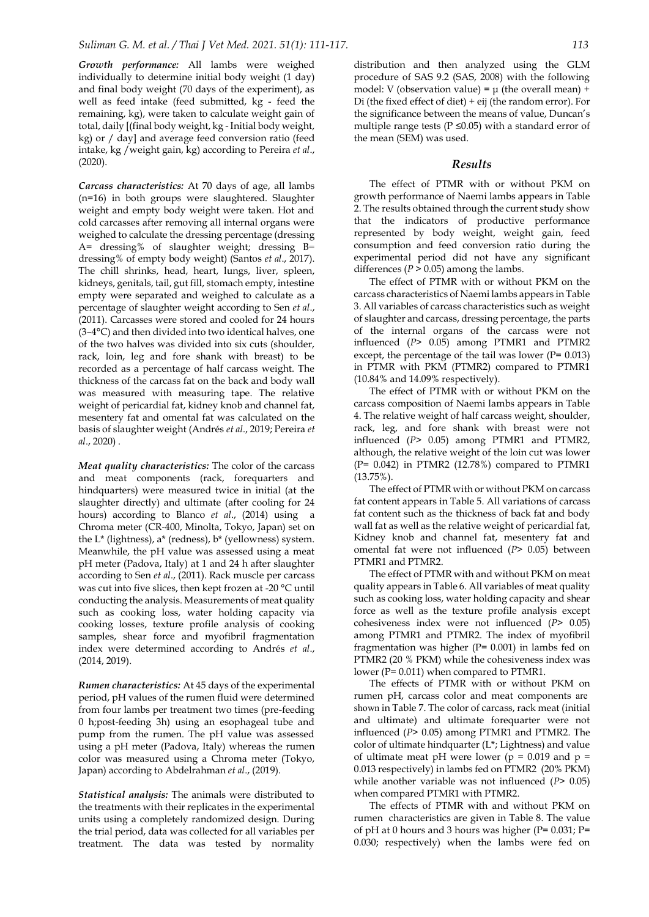*Growth performance:* All lambs were weighed individually to determine initial body weight (1 day) and final body weight (70 days of the experiment), as well as feed intake (feed submitted, kg - feed the remaining, kg), were taken to calculate weight gain of total, daily [(final body weight, kg - Initial body weight, kg) or / day] and average feed conversion ratio (feed intake, kg /weight gain, kg) according to Pereira *et al*., (2020).

*Carcass characteristics:* At 70 days of age, all lambs (n=16) in both groups were slaughtered. Slaughter weight and empty body weight were taken. Hot and cold carcasses after removing all internal organs were weighed to calculate the dressing percentage (dressing A= dressing% of slaughter weight; dressing B= dressing% of empty body weight) (Santos *et al*., 2017). The chill shrinks, head, heart, lungs, liver, spleen, kidneys, genitals, tail, gut fill, stomach empty, intestine empty were separated and weighed to calculate as a percentage of slaughter weight according to Sen *et al*., (2011). Carcasses were stored and cooled for 24 hours (3–4°C) and then divided into two identical halves, one of the two halves was divided into six cuts (shoulder, rack, loin, leg and fore shank with breast) to be recorded as a percentage of half carcass weight. The thickness of the carcass fat on the back and body wall was measured with measuring tape. The relative weight of pericardial fat, kidney knob and channel fat, mesentery fat and omental fat was calculated on the basis of slaughter weight (Andrés *et al*., 2019; Pereira *et al*., 2020) .

*Meat quality characteristics:* The color of the carcass and meat components (rack, forequarters and hindquarters) were measured twice in initial (at the slaughter directly) and ultimate (after cooling for 24 hours) according to Blanco *et al*., (2014) using a Chroma meter (CR‐400, Minolta, Tokyo, Japan) set on the L\* (lightness), a\* (redness), b\* (yellowness) system. Meanwhile, the pH value was assessed using a meat pH meter (Padova, Italy) at 1 and 24 h after slaughter according to Sen *et al*., (2011). Rack muscle per carcass was cut into five slices, then kept frozen at -20 °C until conducting the analysis. Measurements of meat quality such as cooking loss, water holding capacity via cooking losses, texture profile analysis of cooking samples, shear force and myofibril fragmentation index were determined according to Andrés *et al*., (2014, 2019).

*Rumen characteristics:* At 45 days of the experimental period, pH values of the rumen fluid were determined from four lambs per treatment two times (pre-feeding 0 h;post-feeding 3h) using an esophageal tube and pump from the rumen. The pH value was assessed using a pH meter (Padova, Italy) whereas the rumen color was measured using a Chroma meter (Tokyo, Japan) according to Abdelrahman *et al*., (2019).

*Statistical analysis:* The animals were distributed to the treatments with their replicates in the experimental units using a completely randomized design. During the trial period, data was collected for all variables per treatment. The data was tested by normality

distribution and then analyzed using the GLM procedure of SAS 9.2 (SAS, 2008) with the following model: V (observation value) =  $\mu$  (the overall mean) + Di (the fixed effect of diet) + eij (the random error). For the significance between the means of value, Duncan's multiple range tests ( $P \le 0.05$ ) with a standard error of the mean (SEM) was used.

#### *Results*

The effect of PTMR with or without PKM on growth performance of Naemi lambs appears in Table 2. The results obtained through the current study show that the indicators of productive performance represented by body weight, weight gain, feed consumption and feed conversion ratio during the experimental period did not have any significant differences ( $P > 0.05$ ) among the lambs.

The effect of PTMR with or without PKM on the carcass characteristics of Naemi lambs appears in Table 3. All variables of carcass characteristics such as weight of slaughter and carcass, dressing percentage, the parts of the internal organs of the carcass were not influenced (*P*> 0.05) among PTMR1 and PTMR2 except, the percentage of the tail was lower ( $P= 0.013$ ) in PTMR with PKM (PTMR2) compared to PTMR1 (10.84% and 14.09% respectively).

The effect of PTMR with or without PKM on the carcass composition of Naemi lambs appears in Table 4. The relative weight of half carcass weight, shoulder, rack, leg, and fore shank with breast were not influenced (*P*> 0.05) among PTMR1 and PTMR2, although, the relative weight of the loin cut was lower (P= 0.042) in PTMR2 (12.78%) compared to PTMR1 (13.75%).

The effect of PTMR with or without PKM on carcass fat content appears in Table 5. All variations of carcass fat content such as the thickness of back fat and body wall fat as well as the relative weight of pericardial fat, Kidney knob and channel fat, mesentery fat and omental fat were not influenced (*P*> 0.05) between PTMR1 and PTMR2.

The effect of PTMR with and without PKM on meat quality appears in Table 6. All variables of meat quality such as cooking loss, water holding capacity and shear force as well as the texture profile analysis except cohesiveness index were not influenced (*P*> 0.05) among PTMR1 and PTMR2. The index of myofibril fragmentation was higher ( $P= 0.001$ ) in lambs fed on PTMR2 (20 % PKM) while the cohesiveness index was lower (P= 0.011) when compared to PTMR1.

The effects of PTMR with or without PKM on rumen pH, carcass color and meat components are shown in Table 7. The color of carcass, rack meat (initial and ultimate) and ultimate forequarter were not influenced (*P*> 0.05) among PTMR1 and PTMR2. The color of ultimate hindquarter (L\*; Lightness) and value of ultimate meat pH were lower ( $p = 0.019$  and  $p =$ 0.013 respectively) in lambs fed on PTMR2 (20% PKM) while another variable was not influenced (*P*> 0.05) when compared PTMR1 with PTMR2.

The effects of PTMR with and without PKM on rumen characteristics are given in Table 8. The value of pH at 0 hours and 3 hours was higher ( $P= 0.031$ ;  $P=$ 0.030; respectively) when the lambs were fed on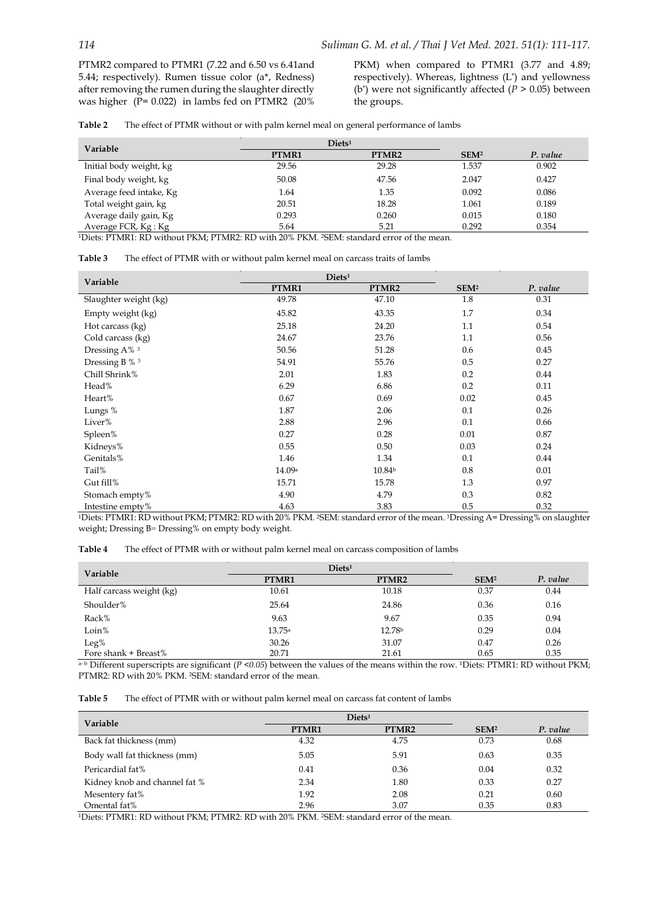PTMR2 compared to PTMR1 (7.22 and 6.50 vs 6.41and 5.44; respectively). Rumen tissue color (a\*, Redness) after removing the rumen during the slaughter directly was higher ( $\overline{P}$ = 0.022) in lambs fed on PTMR2 (20%)

PKM) when compared to PTMR1 (3.77 and 4.89; respectively). Whereas, lightness (L\*) and yellowness (b<sup>\*</sup>) were not significantly affected ( $\dot{P} > 0.05$ ) between the groups.

**Table 2** The effect of PTMR without or with palm kernel meal on general performance of lambs

| Variable                | $\rm Diets^1$ |                   |                  |          |
|-------------------------|---------------|-------------------|------------------|----------|
|                         | PTMR1         | PTMR <sub>2</sub> | SEM <sup>2</sup> | P. value |
| Initial body weight, kg | 29.56         | 29.28             | 1.537            | 0.902    |
| Final body weight, kg   | 50.08         | 47.56             | 2.047            | 0.427    |
| Average feed intake, Kg | 1.64          | 1.35              | 0.092            | 0.086    |
| Total weight gain, kg   | 20.51         | 18.28             | 1.061            | 0.189    |
| Average daily gain, Kg  | 0.293         | 0.260             | 0.015            | 0.180    |
| Average FCR, Kg : Kg    | 5.64          | 5.21              | 0.292            | 0.354    |

<sup>1</sup>Diets: PTMR1: RD without PKM; PTMR2: RD with 20% PKM. <sup>2</sup>SEM: standard error of the mean.

| Table 3 | The effect of PTMR with or without palm kernel meal on carcass traits of lambs |
|---------|--------------------------------------------------------------------------------|
|---------|--------------------------------------------------------------------------------|

| Variable                 | Diets <sup>1</sup> |                    |                  |          |
|--------------------------|--------------------|--------------------|------------------|----------|
|                          | PTMR1              | PTMR2              | SEM <sup>2</sup> | P. value |
| Slaughter weight (kg)    | 49.78              | 47.10              | 1.8              | 0.31     |
| Empty weight (kg)        | 45.82              | 43.35              | 1.7              | 0.34     |
| Hot carcass (kg)         | 25.18              | 24.20              | 1.1              | 0.54     |
| Cold carcass (kg)        | 24.67              | 23.76              | 1.1              | 0.56     |
| Dressing A% <sup>3</sup> | 50.56              | 51.28              | 0.6              | 0.45     |
| Dressing B % 3           | 54.91              | 55.76              | 0.5              | 0.27     |
| Chill Shrink%            | 2.01               | 1.83               | 0.2              | 0.44     |
| Head%                    | 6.29               | 6.86               | 0.2              | 0.11     |
| Heart%                   | 0.67               | 0.69               | 0.02             | 0.45     |
| Lungs %                  | 1.87               | 2.06               | 0.1              | 0.26     |
| Liver%                   | 2.88               | 2.96               | 0.1              | 0.66     |
| Spleen%                  | 0.27               | 0.28               | 0.01             | 0.87     |
| Kidneys%                 | 0.55               | 0.50               | 0.03             | 0.24     |
| Genitals%                | 1.46               | 1.34               | 0.1              | 0.44     |
| Tail%                    | 14.09a             | 10.84 <sup>b</sup> | 0.8              | 0.01     |
| Gut fill%                | 15.71              | 15.78              | 1.3              | 0.97     |
| Stomach empty%           | 4.90               | 4.79               | 0.3              | 0.82     |
| Intestine empty%         | 4.63               | 3.83               | 0.5              | 0.32     |

<sup>1</sup>Diets: PTMR1: RD without PKM; PTMR2: RD with 20% PKM. 2SEM: standard error of the mean. <sup>3</sup>Dressing A= Dressing% on slaughter weight; Dressing B= Dressing% on empty body weight.

| Table 4 |  |  | The effect of PTMR with or without palm kernel meal on carcass composition of lambs |
|---------|--|--|-------------------------------------------------------------------------------------|
|---------|--|--|-------------------------------------------------------------------------------------|

| Variable                 | Diets <sup>1</sup> |        |                  |          |
|--------------------------|--------------------|--------|------------------|----------|
|                          | PTMR1              | PTMR2  | SEM <sup>2</sup> | P. value |
| Half carcass weight (kg) | 10.61              | 10.18  | 0.37             | 0.44     |
| Shoulder%                | 25.64              | 24.86  | 0.36             | 0.16     |
| Rack%                    | 9.63               | 9.67   | 0.35             | 0.94     |
| Loin%                    | 13.75a             | 12.78b | 0.29             | 0.04     |
| $Leg\%$                  | 30.26              | 31.07  | 0.47             | 0.26     |
| Fore shank + Breast%     | 20.71              | 21.61  | 0.65             | 0.35     |

a-b Different superscripts are significant ( $P \le 0.05$ ) between the values of the means within the row. <sup>1</sup>Diets: PTMR1: RD without PKM; PTMR2: RD with 20% PKM. <sup>2</sup>SEM: standard error of the mean.

**Table 5** The effect of PTMR with or without palm kernel meal on carcass fat content of lambs

| Variable                      | Diets <sup>1</sup> |       |                  |          |
|-------------------------------|--------------------|-------|------------------|----------|
|                               | PTMR1              | PTMR2 | SEM <sup>2</sup> | P. value |
| Back fat thickness (mm)       | 4.32               | 4.75  | 0.73             | 0.68     |
| Body wall fat thickness (mm)  | 5.05               | 5.91  | 0.63             | 0.35     |
| Pericardial fat%              | 0.41               | 0.36  | 0.04             | 0.32     |
| Kidney knob and channel fat % | 2.34               | 1.80  | 0.33             | 0.27     |
| Mesentery fat%                | 1.92               | 2.08  | 0.21             | 0.60     |
| Omental fat%                  | 2.96               | 3.07  | 0.35             | 0.83     |

<sup>1</sup>Diets: PTMR1: RD without PKM; PTMR2: RD with 20% PKM. <sup>2</sup>SEM: standard error of the mean.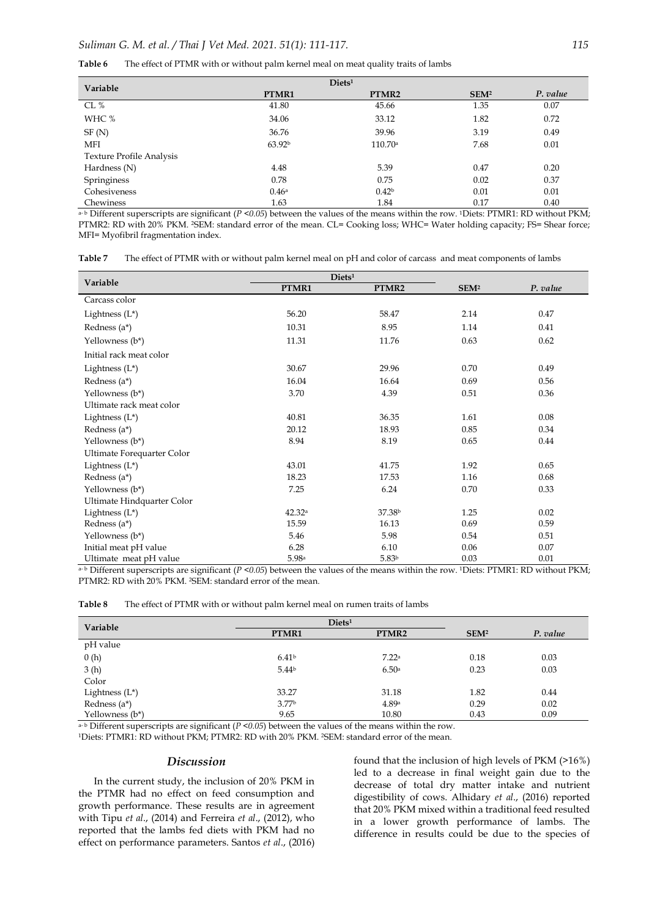| The effect of PTMR with or without palm kernel meal on meat quality traits of lambs<br>Table 6 |  |
|------------------------------------------------------------------------------------------------|--|
|------------------------------------------------------------------------------------------------|--|

| Variable                        | Diets <sup>1</sup> |                   |                  |          |
|---------------------------------|--------------------|-------------------|------------------|----------|
|                                 | PTMR1              | PTMR2             | SEM <sup>2</sup> | P. value |
| CL $%$                          | 41.80              | 45.66             | 1.35             | 0.07     |
| WHC %                           | 34.06              | 33.12             | 1.82             | 0.72     |
| SF(N)                           | 36.76              | 39.96             | 3.19             | 0.49     |
| MFI                             | 63.92 <sup>b</sup> | 110.70a           | 7.68             | 0.01     |
| <b>Texture Profile Analysis</b> |                    |                   |                  |          |
| Hardness (N)                    | 4.48               | 5.39              | 0.47             | 0.20     |
| Springiness                     | 0.78               | 0.75              | 0.02             | 0.37     |
| Cohesiveness                    | 0.46a              | 0.42 <sup>b</sup> | 0.01             | 0.01     |
| Chewiness                       | 1.63               | 1.84              | 0.17             | 0.40     |

 $a$ -b Different superscripts are significant (*P* <0.05) between the values of the means within the row. 1Diets: PTMR1: RD without PKM; PTMR2: RD with 20% PKM. <sup>2SEM:</sup> standard error of the mean. CL= Cooking loss; WHC= Water holding capacity; FS= Shear force; MFI= Myofibril fragmentation index.

**Table 7** The effect of PTMR with or without palm kernel meal on pH and color of carcass and meat components of lambs

| Variable                   | $\mathbf{Diets}^1$ |                    |                  |          |
|----------------------------|--------------------|--------------------|------------------|----------|
|                            | PTMR1              | PTMR2              | SEM <sup>2</sup> | P. value |
| Carcass color              |                    |                    |                  |          |
| Lightness $(L^*)$          | 56.20              | 58.47              | 2.14             | 0.47     |
| Redness (a*)               | 10.31              | 8.95               | 1.14             | 0.41     |
| Yellowness (b*)            | 11.31              | 11.76              | 0.63             | 0.62     |
| Initial rack meat color    |                    |                    |                  |          |
| Lightness $(L^*)$          | 30.67              | 29.96              | 0.70             | 0.49     |
| Redness $(a^*)$            | 16.04              | 16.64              | 0.69             | 0.56     |
| Yellowness (b*)            | 3.70               | 4.39               | 0.51             | 0.36     |
| Ultimate rack meat color   |                    |                    |                  |          |
| Lightness $(L^*)$          | 40.81              | 36.35              | 1.61             | 0.08     |
| Redness (a*)               | 20.12              | 18.93              | 0.85             | 0.34     |
| Yellowness (b*)            | 8.94               | 8.19               | 0.65             | 0.44     |
| Ultimate Forequarter Color |                    |                    |                  |          |
| Lightness $(L^*)$          | 43.01              | 41.75              | 1.92             | 0.65     |
| Redness $(a^*)$            | 18.23              | 17.53              | 1.16             | 0.68     |
| Yellowness (b*)            | 7.25               | 6.24               | 0.70             | 0.33     |
| Ultimate Hindquarter Color |                    |                    |                  |          |
| Lightness $(L^*)$          | 42.32a             | 37.38 <sup>b</sup> | 1.25             | 0.02     |
| Redness $(a^*)$            | 15.59              | 16.13              | 0.69             | 0.59     |
| Yellowness (b*)            | 5.46               | 5.98               | 0.54             | 0.51     |
| Initial meat pH value      | 6.28               | 6.10               | 0.06             | 0.07     |
| Ultimate meat pH value     | 5.98a              | 5.83 <sup>b</sup>  | 0.03             | 0.01     |

 $a-b$  Different superscripts are significant ( $P < 0.05$ ) between the values of the means within the row. <sup>1</sup>Diets: PTMR1: RD without PKM; PTMR2: RD with 20% PKM. 2SEM: standard error of the mean.

| The effect of PTMR with or without palm kernel meal on rumen traits of lambs<br><b>Table 8</b> |  |
|------------------------------------------------------------------------------------------------|--|
|------------------------------------------------------------------------------------------------|--|

| Variable          | Diets <sup>1</sup> |                   |                  |          |
|-------------------|--------------------|-------------------|------------------|----------|
|                   | PTMR1              | PTMR2             | SEM <sup>2</sup> | P. value |
| pH value          |                    |                   |                  |          |
| 0(h)              | 6.41 <sup>b</sup>  | 7.22 <sup>a</sup> | 0.18             | 0.03     |
| 3(h)              | 5.44 <sup>b</sup>  | 6.50a             | 0.23             | 0.03     |
| Color             |                    |                   |                  |          |
| Lightness $(L^*)$ | 33.27              | 31.18             | 1.82             | 0.44     |
| Redness $(a^*)$   | 3.77 <sup>b</sup>  | 4.89a             | 0.29             | 0.02     |
| Yellowness (b*)   | 9.65               | 10.80             | 0.43             | 0.09     |

 $a-b$  Different superscripts are significant ( $P \le 0.05$ ) between the values of the means within the row.

<sup>1</sup>Diets: PTMR1: RD without PKM; PTMR2: RD with 20% PKM. 2SEM: standard error of the mean.

#### *Discussion*

In the current study, the inclusion of 20% PKM in the PTMR had no effect on feed consumption and growth performance. These results are in agreement with Tipu *et al*., (2014) and Ferreira *et al*., (2012), who reported that the lambs fed diets with PKM had no effect on performance parameters. Santos *et al*., (2016) found that the inclusion of high levels of PKM (>16%) led to a decrease in final weight gain due to the decrease of total dry matter intake and nutrient digestibility of cows. Alhidary *et al*., (2016) reported that 20% PKM mixed within a traditional feed resulted in a lower growth performance of lambs. The difference in results could be due to the species of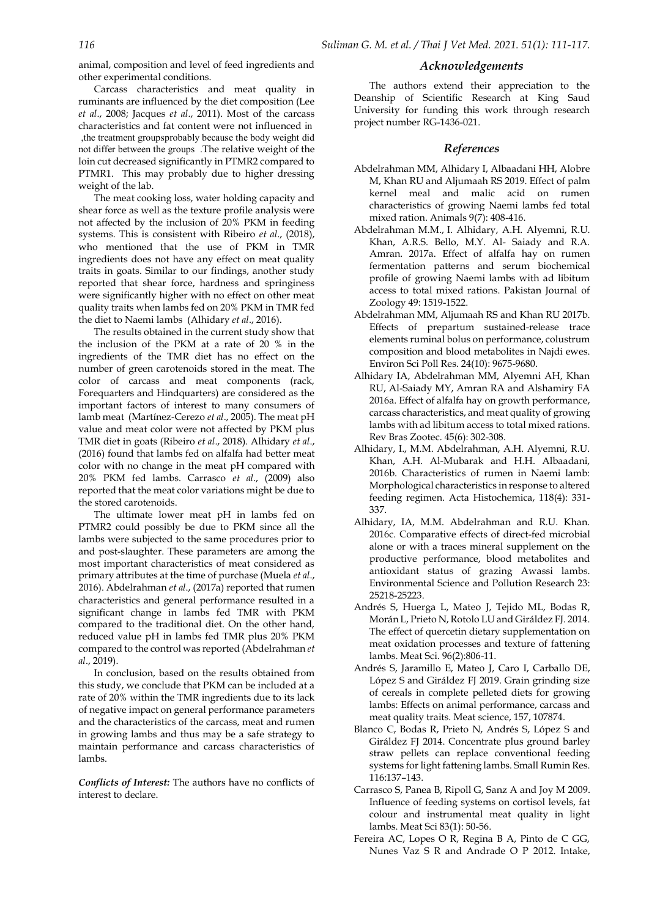animal, composition and level of feed ingredients and other experimental conditions.

Carcass characteristics and meat quality in ruminants are influenced by the diet composition (Lee *et al*., 2008; Jacques *et al*., 2011). Most of the carcass characteristics and fat content were not influenced in ,the treatment groupsprobably because the body weight did not differ between the groups .The relative weight of the loin cut decreased significantly in PTMR2 compared to PTMR1. This may probably due to higher dressing weight of the lab.

The meat cooking loss, water holding capacity and shear force as well as the texture profile analysis were not affected by the inclusion of 20% PKM in feeding systems. This is consistent with Ribeiro *et al*., (2018), who mentioned that the use of PKM in TMR ingredients does not have any effect on meat quality traits in goats. Similar to our findings, another study reported that shear force, hardness and springiness were significantly higher with no effect on other meat quality traits when lambs fed on 20% PKM in TMR fed the diet to Naemi lambs (Alhidary *et al*., 2016).

The results obtained in the current study show that the inclusion of the PKM at a rate of 20 % in the ingredients of the TMR diet has no effect on the number of green carotenoids stored in the meat. The color of carcass and meat components (rack, Forequarters and Hindquarters) are considered as the important factors of interest to many consumers of lamb meat (Martínez-Cerezo *et al*., 2005). The meat pH value and meat color were not affected by PKM plus TMR diet in goats (Ribeiro *et al*., 2018). Alhidary *et al*., (2016) found that lambs fed on alfalfa had better meat color with no change in the meat pH compared with 20% PKM fed lambs. Carrasco *et al*., (2009) also reported that the meat color variations might be due to the stored carotenoids.

The ultimate lower meat pH in lambs fed on PTMR2 could possibly be due to PKM since all the lambs were subjected to the same procedures prior to and post-slaughter. These parameters are among the most important characteristics of meat considered as primary attributes at the time of purchase (Muela *et al*., 2016). Abdelrahman *et al*., (2017a) reported that rumen characteristics and general performance resulted in a significant change in lambs fed TMR with PKM compared to the traditional diet. On the other hand, reduced value pH in lambs fed TMR plus 20% PKM compared to the control was reported (Abdelrahman *et al*., 2019).

In conclusion, based on the results obtained from this study, we conclude that PKM can be included at a rate of 20% within the TMR ingredients due to its lack of negative impact on general performance parameters and the characteristics of the carcass, meat and rumen in growing lambs and thus may be a safe strategy to maintain performance and carcass characteristics of lambs.

*Conflicts of Interest:* The authors have no conflicts of interest to declare.

## *Acknowledgements*

The authors extend their appreciation to the Deanship of Scientific Research at King Saud University for funding this work through research project number RG-1436-021.

## *References*

- Abdelrahman MM, Alhidary I, Albaadani HH, Alobre M, Khan RU and Aljumaah RS 2019. Effect of palm kernel meal and malic acid on rumen characteristics of growing Naemi lambs fed total mixed ration. Animals 9(7): 408-416.
- Abdelrahman M.M., I. Alhidary, A.H. Alyemni, R.U. Khan, A.R.S. Bello, M.Y. Al- Saiady and R.A. Amran. 2017a. Effect of alfalfa hay on rumen fermentation patterns and serum biochemical profile of growing Naemi lambs with ad libitum access to total mixed rations. Pakistan Journal of Zoology 49: 1519-1522.
- Abdelrahman MM, Aljumaah RS and Khan RU 2017b. Effects of prepartum sustained-release trace elements ruminal bolus on performance, colustrum composition and blood metabolites in Najdi ewes. Environ Sci Poll Res. 24(10): 9675-9680.
- Alhidary IA, Abdelrahman MM, Alyemni AH, Khan RU, Al-Saiady MY, Amran RA and Alshamiry FA 2016a. Effect of alfalfa hay on growth performance, carcass characteristics, and meat quality of growing lambs with ad libitum access to total mixed rations. Rev Bras Zootec. 45(6): 302-308.
- Alhidary, I., M.M. Abdelrahman, A.H. Alyemni, R.U. Khan, A.H. Al-Mubarak and H.H. Albaadani, 2016b. Characteristics of rumen in Naemi lamb: Morphological characteristics in response to altered feeding regimen. Acta Histochemica, 118(4): 331- 337.
- Alhidary, IA, M.M. Abdelrahman and R.U. Khan. 2016c. Comparative effects of direct-fed microbial alone or with a traces mineral supplement on the productive performance, blood metabolites and antioxidant status of grazing Awassi lambs. Environmental Science and Pollution Research 23: 25218-25223.
- Andrés S, Huerga L, Mateo J, Tejido ML, Bodas R, Morán L, Prieto N, Rotolo LU and Giráldez FJ. 2014. The effect of quercetin dietary supplementation on meat oxidation processes and texture of fattening lambs. Meat Sci. 96(2):806-11.
- Andrés S, Jaramillo E, Mateo J, Caro I, Carballo DE, López S and Giráldez FJ 2019. Grain grinding size of cereals in complete pelleted diets for growing lambs: Effects on animal performance, carcass and meat quality traits. Meat science, 157, 107874.
- Blanco C, Bodas R, Prieto N, Andrés S, López S and Giráldez FJ 2014. Concentrate plus ground barley straw pellets can replace conventional feeding systems for light fattening lambs. Small Rumin Res. 116:137–143.
- Carrasco S, Panea B, Ripoll G, Sanz A and Joy M 2009. Influence of feeding systems on cortisol levels, fat colour and instrumental meat quality in light lambs. Meat Sci 83(1): 50-56.
- Fereira AC, Lopes O R, Regina B A, Pinto de C GG, Nunes Vaz S R and Andrade O P 2012. Intake,